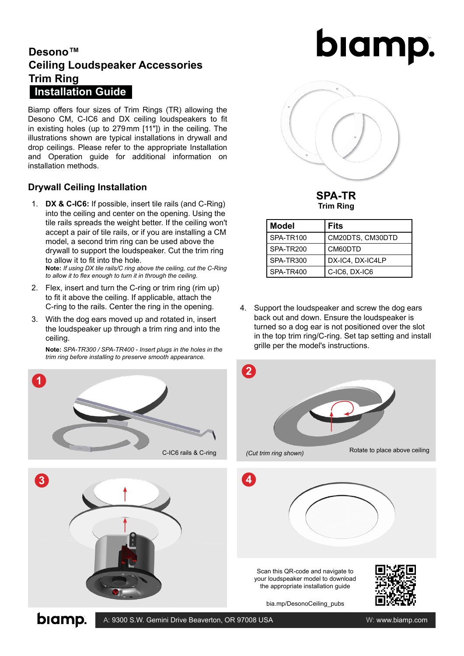### **Desono™ Ceiling Loudspeaker Accessories Trim Ring Installation Guide**

Biamp offers four sizes of Trim Rings (TR) allowing the Desono CM, C-IC6 and DX ceiling loudspeakers to fit in existing holes (up to 279mm [11"]) in the ceiling. The illustrations shown are typical installations in drywall and drop ceilings. Please refer to the appropriate Installation and Operation guide for additional information on installation methods.

#### **Drywall Ceiling Installation**

1. **DX & C-IC6:** If possible, insert tile rails (and C-Ring) into the ceiling and center on the opening. Using the tile rails spreads the weight better. If the ceiling won't accept a pair of tile rails, or if you are installing a CM model, a second trim ring can be used above the drywall to support the loudspeaker. Cut the trim ring to allow it to fit into the hole.

**Note:** *If using DX tile rails/C ring above the ceiling, cut the C-Ring to allow it to flex enough to turn it in through the ceiling.* 

- 2. Flex, insert and turn the C-ring or trim ring (rim up) to fit it above the ceiling. If applicable, attach the C-ring to the rails. Center the ring in the opening.
- 3. With the dog ears moved up and rotated in, insert the loudspeaker up through a trim ring and into the ceiling.

**Note:** *SPA-TR300 / SPA-TR400 - Insert plugs in the holes in the trim ring before installing to preserve smooth appearance.*





# biamp.



**SPA-TR Trim Ring**

| <b>Model</b> | Fits             |  |
|--------------|------------------|--|
| SPA-TR100    | CM20DTS, CM30DTD |  |
| SPA-TR200    | CM60DTD          |  |
| SPA-TR300    | DX-IC4, DX-IC4LP |  |
| SPA-TR400    | C-IC6, DX-IC6    |  |

4. Support the loudspeaker and screw the dog ears back out and down. Ensure the loudspeaker is turned so a dog ear is not positioned over the slot in the top trim ring/C-ring. Set tap setting and install grille per the model's instructions.



biamp.

A: 9300 S.W. Gemini Drive Beaverton, OR 97008 USA W: www.biamp.com